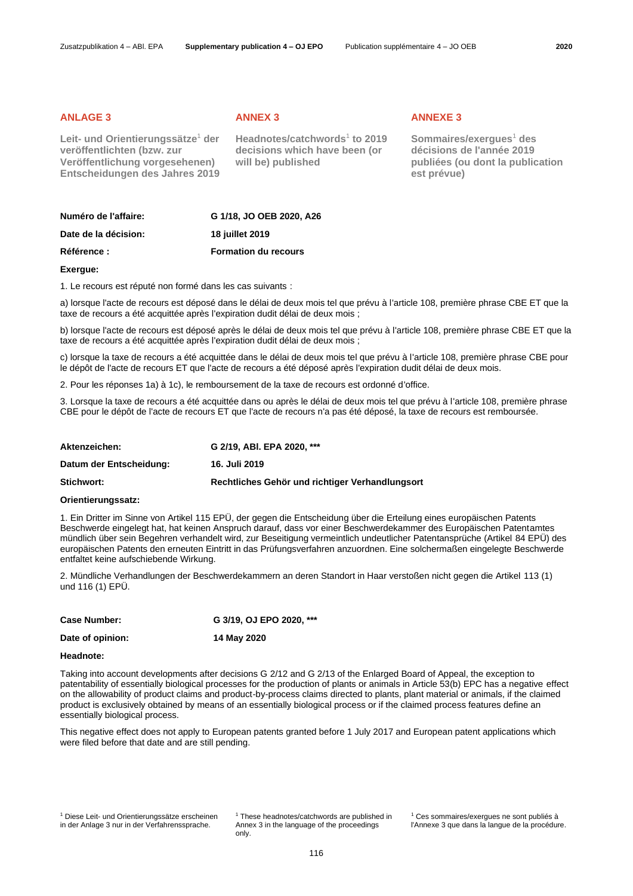**Leit- und Orientierungssätze**<sup>1</sup> **der veröffentlichten (bzw. zur Veröffentlichung vorgesehenen) Entscheidungen des Jahres 2019**

<span id="page-0-0"></span>**Headnotes/catchword[s](#page-0-0)**<sup>1</sup> **to 2019 decisions which have been (or will be) published**

## **ANLAGE 3 ANNEX 3 ANNEXE 3**

**Sommaires/exergue[s](#page-0-0)**<sup>1</sup> **des décisions de l'année 2019 publiées (ou dont la publication est prévue)**

| Numéro de l'affaire: | G 1/18, JO OEB 2020, A26    |
|----------------------|-----------------------------|
| Date de la décision: | 18 juillet 2019             |
| <b>Référence :</b>   | <b>Formation du recours</b> |

# **Exergue:**

1. Le recours est réputé non formé dans les cas suivants :

a) lorsque l'acte de recours est déposé dans le délai de deux mois tel que prévu à l'article 108, première phrase CBE ET que la taxe de recours a été acquittée après l'expiration dudit délai de deux mois ;

b) lorsque l'acte de recours est déposé après le délai de deux mois tel que prévu à l'article 108, première phrase CBE ET que la taxe de recours a été acquittée après l'expiration dudit délai de deux mois ;

c) lorsque la taxe de recours a été acquittée dans le délai de deux mois tel que prévu à l'article 108, première phrase CBE pour le dépôt de l'acte de recours ET que l'acte de recours a été déposé après l'expiration dudit délai de deux mois.

2. Pour les réponses 1a) à 1c), le remboursement de la taxe de recours est ordonné d'office.

3. Lorsque la taxe de recours a été acquittée dans ou après le délai de deux mois tel que prévu à l'article 108, première phrase CBE pour le dépôt de l'acte de recours ET que l'acte de recours n'a pas été déposé, la taxe de recours est remboursée.

| Aktenzeichen:           | G 2/19, ABI, EPA 2020, ***                      |
|-------------------------|-------------------------------------------------|
| Datum der Entscheidung: | 16. Juli 2019                                   |
| Stichwort:              | Rechtliches Gehör und richtiger Verhandlungsort |

### **Orientierungssatz:**

1. Ein Dritter im Sinne von Artikel 115 EPÜ, der gegen die Entscheidung über die Erteilung eines europäischen Patents Beschwerde eingelegt hat, hat keinen Anspruch darauf, dass vor einer Beschwerdekammer des Europäischen Patentamtes mündlich über sein Begehren verhandelt wird, zur Beseitigung vermeintlich undeutlicher Patentansprüche (Artikel 84 EPÜ) des europäischen Patents den erneuten Eintritt in das Prüfungsverfahren anzuordnen. Eine solchermaßen eingelegte Beschwerde entfaltet keine aufschiebende Wirkung.

2. Mündliche Verhandlungen der Beschwerdekammern an deren Standort in Haar verstoßen nicht gegen die Artikel 113 (1) und 116 (1) EPÜ.

| <b>Case Number:</b> | G 3/19, OJ EPO 2020, *** |
|---------------------|--------------------------|
| Date of opinion:    | 14 May 2020              |

# **Headnote:**

Taking into account developments after decisions G 2/12 and G 2/13 of the Enlarged Board of Appeal, the exception to patentability of essentially biological processes for the production of plants or animals in Article 53(b) EPC has a negative effect on the allowability of product claims and product-by-process claims directed to plants, plant material or animals, if the claimed product is exclusively obtained by means of an essentially biological process or if the claimed process features define an essentially biological process.

This negative effect does not apply to European patents granted before 1 July 2017 and European patent applications which were filed before that date and are still pending.

<sup>[1](#page-0-0)</sup> These headnotes/catchwords are published in Annex 3 in the language of the proceedings only.

[<sup>1</sup>](#page-0-0) Ces sommaires/exergues ne sont publiés à l'Annexe 3 que dans la langue de la procédure.